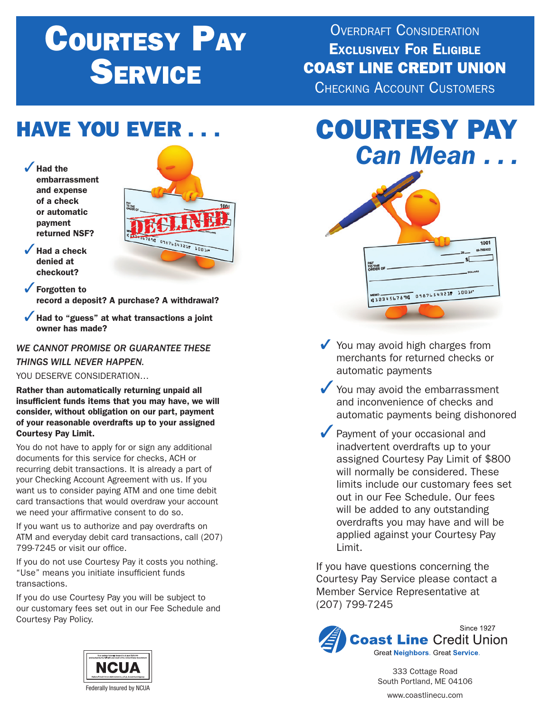# Courtesy Pay **SERVICE**

 $100$ 

7891: 0987654321. 1001

OVERDRAFT CONSIDERATION Exclusively For Eligible COAST LINE CREDIT UNION Checking Account Customers

### **HAVE YOU EVER**

 $\sqrt{\phantom{a}}$  Had the embarrassment and expense of a check or automatic payment returned NSF?



 $\sqrt{\ }$  Forgotten to record a deposit? A purchase? A withdrawal?

 $\checkmark$  Had to "guess" at what transactions a joint owner has made?

### *WE CANNOT PROMISE OR GUARANTEE THESE THINGS WILL NEVER HAPPEN.*

YOU DESERVE CONSIDERATION…

Rather than automatically returning unpaid all insufficient funds items that you may have, we will consider, without obligation on our part, payment of your reasonable overdrafts up to your assigned Courtesy Pay Limit.

You do not have to apply for or sign any additional documents for this service for checks, ACH or recurring debit transactions. It is already a part of your Checking Account Agreement with us. If you want us to consider paying ATM and one time debit card transactions that would overdraw your account we need your affirmative consent to do so.

If you want us to authorize and pay overdrafts on ATM and everyday debit card transactions, call (207) 799-7245 or visit our office.

If you do not use Courtesy Pay it costs you nothing. "Use" means you initiate insufficient funds transactions.

If you do use Courtesy Pay you will be subject to our customary fees set out in our Fee Schedule and Courtesy Pay Policy.



# COURTESY PAY *Can Mean . . .*



 $\checkmark$  You may avoid high charges from merchants for returned checks or automatic payments

- $\checkmark$  You may avoid the embarrassment and inconvenience of checks and automatic payments being dishonored
- $\sqrt{\ }$  Payment of your occasional and inadvertent overdrafts up to your assigned Courtesy Pay Limit of \$800 will normally be considered. These limits include our customary fees set out in our Fee Schedule. Our fees will be added to any outstanding overdrafts you may have and will be applied against your Courtesy Pay Limit.

If you have questions concerning the Courtesy Pay Service please contact a Member Service Representative at (207) 799-7245



333 Cottage Road South Portland, ME 04106

www.coastlinecu.com